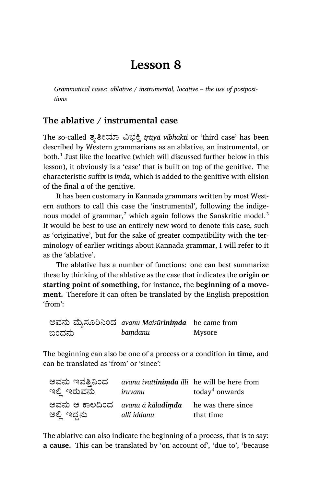# **Lesson 8**

*Grammatical cases: ablative / instrumental, locative – the use of postpositions*

## **The ablative / instrumental case**

The so-called ತೃತೀಯಾ ವಿಭಕ್ತಿ *trtiyā vibhakti* or 'third case' has been described by Western grammarians as an ablative, an instrumental, or both. $^1$  Just like the locative (which will discussed further below in this lesson), it obviously is a 'case' that is built on top of the genitive. The charac teristic suffix is *iṃda,* which is added to the genitive with elision of the final *a* of the genitive.

It has been customary in Kannada grammars written by most Western authors to call this case the 'instrumental', following the indigenous model of grammar, $^2$  which again follows the Sanskritic model. $^3$ It would be best to use an entirely new word to denote this case, such as 'originative', but for the sake of greater compatibility with the terminology of earlier writings about Kannada grammar, I will refer to it as the 'ablative'.

The ablative has a number of functions: one can best summarize these by thinking of the ablative as the case that indicates the **origin or starting point of something, for instance, the beginning of a movement.** Therefore it can often be translated by the English preposition 'from':

ಅವನು ģೖಸೂĨĚಂದ *avanu Maisūriniṃda* he came from ಬಂದನು *baṃdanu* Mysore

The beginning can also be one of a process or a condition **in time,** and can be translated as 'from' or 'since':

| ಅವನು ಇವತ್ತಿನಿಂದ                  | avanu ivattinimda illi he will be here from |                            |
|----------------------------------|---------------------------------------------|----------------------------|
| ಇಲ್ಲಿ ಇರುವನು                     | iruvanu                                     | today <sup>4</sup> onwards |
| ಅವನು ಆ ಕಾಲದಿಂದ avanu ā kāladimda |                                             | he was there since         |
| ಅಲ್ಲಿ ಇದ್ದನು                     | alli iddanu                                 | that time                  |

The ablative can also indicate the beginning of a process, that is to say: **a cause.** This can be translated by 'on account of', 'due to', 'because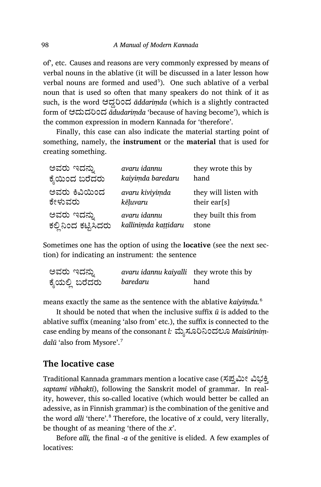of', etc. Causes and reasons are very commonly expressed by means of verbal nouns in the ablative (it will be discussed in a later lesson how  $verbal$  nouns are formed and used $5$ ). One such ablative of a verbal noun that is used so often that many speakers do not think of it as such, is the word ಆದ್ದರಿಂದ *āddariṃda* (which is a slightly contracted form of ಆದುದರಿಂದ *adudarimda* 'because of having become'), which is the common expression in modern Kannada for 'therefore'.

Finally, this case can also indicate the material starting point of some thing, namely, the **instrument** or the **material** that is used for creating something.

| ಅವರು ಇದನ್ನು          | avaru idannu         | they wrote this by    |
|----------------------|----------------------|-----------------------|
| ಕ್ಶೆಯಿಂದ ಬರೆದರು      | kaiyimda baredaru    | hand                  |
| ಅವರು ಕಿವಿಯಿಂದ        | avaru kiviyimda      | they will listen with |
| ಕೇಳುವರು              | kēluvaru             | their ear[s]          |
| ಅವರು ಇದನ್ನು          | avaru idannu         | they built this from  |
| ಕಲ್ಲಿನಿಂದ ಕಟ್ಟಿಸಿದರು | kallinimda kattidaru | stone                 |

Sometimes one has the option of using the **locative** (see the next section) for indicating an instrument: the sentence

| ಅವರು ಇದನ್ನು    | avaru idannu kaiyalli they wrote this by |      |
|----------------|------------------------------------------|------|
| ಕೈಯಲ್ಲಿ ಬರೆದರು | baredaru                                 | hand |

means exactly the same as the sentence with the ablative *kaiyiṃda.*<sup>6</sup>

It should be noted that when the inclusive suffix *ū* is added to the ablative suffix (meaning 'also from' etc.), the suffix is connected to the case ending by means of the consonant *l*: ಮೈಸೂರಿನಿಂದಲೂ *Maisūriniṃdalū* 'also from Mysore'.<sup>7</sup>

#### **The locative case**

Traditional Kannada grammars mention a locative case (ಸಪ್ತಮೀ ವಿಭಕ್ತಿ *saptamī vibhak ti*), following the Sanskrit model of grammar. In reality, however, this so-called locative (which would better be called an adessive, as in Finnish grammar) is the combination of the genitive and the word *alli* 'there'.<sup>8</sup> Therefore, the locative of  $x$  could, very literally, be thought of as meaning 'there of the *x*'.

Before *alli,* the final *-a* of the genitive is elided. A few examples of locatives: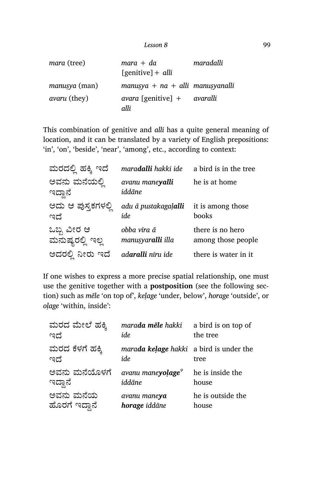| <i>mara</i> (tree)   | $mara + da$                                                       | maradalli |
|----------------------|-------------------------------------------------------------------|-----------|
|                      | $[genitive] + alli$                                               |           |
| <i>manusya</i> (man) | manusya + $na$ + alli manusyanalli                                |           |
| <i>avaru</i> (they)  | $\alpha$ <i>vara</i> [genitive] + $\alpha$ <i>varalli</i><br>alli |           |
|                      |                                                                   |           |

This combination of genitive and *alli* has a quite general meaning of location, and it can be translated by a variety of English prepositions: 'in', 'on', 'beside', 'near', 'among', etc., according to context:

| ಮರದಲ್ಲಿ ಹಕ್ಕಿ ಇದೆ               | maradalli hakki ide              | a bird is in the tree                  |
|---------------------------------|----------------------------------|----------------------------------------|
| ಅವನು ಮನೆಯಲ್ಲಿ<br>ಇದ್ದಾನೆ        | avanu maneyalli<br>iddāne        | he is at home                          |
| ಅದು ಆ ಪುಸ್ತಕಗಳಲ್ಲಿ<br>ಇದೆ       | adu ā pustakagalalli<br>ide      | it is among those<br>books             |
| ಒಬ್ಬ ವೀರ ಆ<br>ಮನುಷ್ಯರಲ್ಲಿ<br>ಇಲ | obba vīra ā<br>manusyaralli illa | there is no hero<br>among those people |
| ಅದರಲ್ಲಿ ನೀರು ಇದೆ                | ad <b>aralli</b> nīru ide        | there is water in it                   |

If one wishes to express a more precise spatial relationship, one must use the genitive together with a **postposition** (see the following section) such as *mēle* 'on top of', *keḷage* 'under, below', *horage* 'outside', or *oḷage* 'within, inside':

| ಮರದ ಮೇಲೆ ಹಕ್ಕಿ         | marada mēle hakki                              | a bird is on top of |
|------------------------|------------------------------------------------|---------------------|
| ಇದೆ                    | ide                                            | the tree            |
| ಮರದ ಕೆಳಗೆ ಹಕ್ಕಿ<br>ಇದೆ | marada kelage hakki a bird is under the<br>ide | tree                |
| ಅವನು ಮನೆಯೊಳಗೆ          | avanu mane <b>yolage</b> <sup>9</sup>          | he is inside the    |
| ಇದ್ದಾನೆ                | iddāne                                         | house               |
| ಅವನು ಮನೆಯ              | avanu maneya                                   | he is outside the   |
| ಹೊರಗೆ ಇದ್ದಾನೆ          | horage iddāne                                  | house               |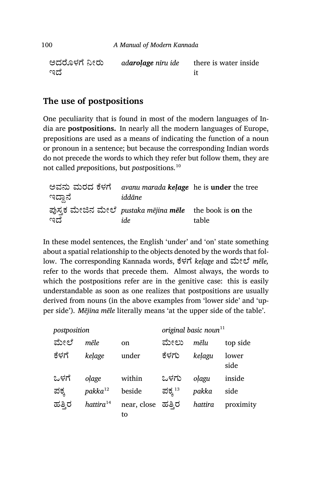| ಅದರೊಳಗೆ ನೀರು | adarolage niru ide | there is water inside |
|--------------|--------------------|-----------------------|
| ಇದೆ          |                    |                       |

## **The use of postpositions**

One peculiarity that is found in most of the modern languages of India are **postpositions.** In nearly all the modern languages of Europe, prepositions are used as a means of indicating the function of a noun or pronoun in a sentence; but because the corresponding Indian words do not precede the words to which they refer but follow them, they are not called *pre*positions, but *post*positions.<sup>10</sup>

| ಇದ್ದಾನೆ | ಅವನು ಮರದ ಕೆಳಗೆ avanu marada kelage he is under the tree<br>iddāne |       |
|---------|-------------------------------------------------------------------|-------|
| ಇದೆ     | ಪುಸ್ತಕ ಮೇಜಿನ ಮೇಲೆ pustaka mējina mēle the book is on the<br>ide   | table |

In these model sentences, the English 'under' and 'on' state something about a spatial relationship to the objects denoted by the words that follow. The cor responding Kannada words, ೆಳೆ *keḷage* and ģೕೆ *mēle,* refer to the words that precede them. Almost always, the words to which the postpositions refer are in the genitive case: this is easily understandable as soon as one realizes that postpositions are usually derived from nouns (in the above examples from 'lower side' and 'upper side'). *Mējina mēle* literally means 'at the upper side of the table'.

| postposition |                 | original basic noun <sup>11</sup> |              |         |               |
|--------------|-----------------|-----------------------------------|--------------|---------|---------------|
| ಮೇಲೆ         | mēle            | on                                | ಮೇಲು         | mēlu    | top side      |
| ಕೆಳಗೆ        | kelage          | under                             | ಕೆಳಗು        | kelagu  | lower<br>side |
| ಒಳಗೆ         | olage           | within                            | ಒಳಗು         | olagu   | inside        |
| ಪಕ್ಕ         | $pakka^{12}$    | beside                            | ಪಕ್ಕ $^{13}$ | pakka   | side          |
| ಹತ್ತಿರ       | $h$ attira $14$ | near, close<br>to                 | ಹತ್ತಿರ       | hattira | proximity     |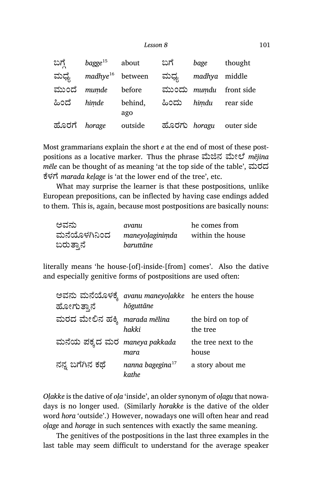#### *Lesson 8* 101

| ಬಗ್ಗೆ        | $bagge^{15}$          | about          | ಬಗೆ  | bage          | thought                 |
|--------------|-----------------------|----------------|------|---------------|-------------------------|
| ಮಧ್ಯೆ        | $madhye^{16}$ between |                | ಮಧ್ಯ | madhya middle |                         |
| ಮುಂದೆ        | mumde                 | before         |      |               | ಮುಂದು mumdu front side  |
| ಹಿಂದೆ        | himde                 | behind,<br>ago |      |               | ಹಿಂದು himdu rear side   |
| ಹೊರಗೆ horage |                       | outside        |      |               | ಹೊರಗು horagu outer side |

Most grammarians explain the short *e* at the end of most of these postpositions as a locative marker. Thus the phrase ಮೆಜಿನ ಮೇಲೆ *mējina mēle* can be thought of as meaning 'at the top side of the table', ಮರದ ೆಳೆ *marada keḷage* is 'at the lower end of the tree', etc.

What may surprise the learner is that these postpositions, unlike European prepositions, can be inflected by having case endings added to them. This is, again, because most postpositions are basically nouns:

| ಅವನು         | avanu           | he comes from    |
|--------------|-----------------|------------------|
| ಮನೆಯೊಳಗಿನಿಂದ | maneyolaginimda | within the house |
| ಬರುತ್ತಾನೆ    | baruttāne       |                  |

literally means 'he house-[of]-inside-[from] comes'. Also the dative and especially genitive forms of postpositions are used often:

| ಹೋಗುತ್ತಾನೆ                    | ಅವನು ಮನೆಯೊಳಕ್ಕೆ avanu maneyolakke) he enters the house<br>hōguttāne |                                |
|-------------------------------|---------------------------------------------------------------------|--------------------------------|
| ಮರದ ಮೇಲಿನ ಹಕ್ಕಿ marada mēlina | hakki                                                               | the bird on top of<br>the tree |
| ಮನೆಯ ಪಕ್ಕದ ಮರ maneya pakkada  | mara                                                                | the tree next to the<br>house  |
| ನನ್ನ ಬಗೆಗಿನ ಕಥೆ               | nanna bagegina $^{17}$<br>kathe                                     | a story about me               |

*Oḷakke* is the dative of *oḷa* 'inside', an older synonym of *oḷagu* that nowadays is no longer used. (Similarly *horakke* is the dative of the older word *hora* 'outside'.) However, nowadays one will often hear and read *oḷage* and *horage* in such sentences with exactly the same meaning.

The genitives of the postpositions in the last three examples in the last table may seem difficult to understand for the average speaker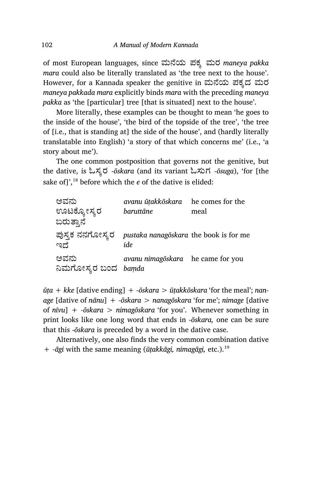of most European languages, since ಮೆಯ ಪಕ¤ ಮರ *maneya pakka mara* could also be literally translated as 'the tree next to the house'. However, for a Kannada speaker the genitive in ಮನೆಯ ಪಕ್ಕದ ಮರ *maneya pakkada mara* explicitly binds *mara* with the preceding *maneya pakka* as 'the [particular] tree [that is situated] next to the house'.

More literally, these examples can be thought to mean 'he goes to the inside of the house', 'the bird of the topside of the tree', 'the tree of [i.e., that is standing at] the side of the house', and (hardly literally translatable into English) 'a story of that which concerns me' (i.e., 'a story about me').

The one common postposition that governs not the genitive, but the dative, is ಓಸ¤ರ -*ōskara* (and its variant ಓಸುಗ -*ōsuga*), 'for [the sake of]',<sup>18</sup> before which the *e* of the dative is elided:

| ಅವನು                        | avanu ūtakkōskara he comes for the            |      |
|-----------------------------|-----------------------------------------------|------|
| ಊಟಕ್ನೋಸ್ಕರ                  | baruttāne                                     | meal |
| ಬರುತ್ತಾನೆ                   |                                               |      |
| ಪುಸ್ತಕ ನನಗೋಸ್ಕರ<br>ಇದೆ      | pustaka nanagōskara the book is for me<br>ide |      |
| ಅವನು<br>ನಿಮಗೋಸ್ತರ ಬಂದ bamda | avanu nimagōskara he came for you             |      |

*ūṭa + kke* [dative ending] *+ -ōskara > ūṭakkōskara* 'for the meal'; *nanage* [dative of *nānu*] *+ -ōskara > nanagōskara* 'for me'; *nimage* [dative of *nīvu*] *+ -ōskara > nimagōskara* 'for you'. Whenever something in print looks like one long word that ends in -*ōskara,* one can be sure that this -*ōskara* is preceded by a word in the dative case.

Alternatively, one also finds the very common combination dative + *‑āgi* with the same meaning (*ūṭakkāgi, nimagāgi,* etc.).<sup>19</sup>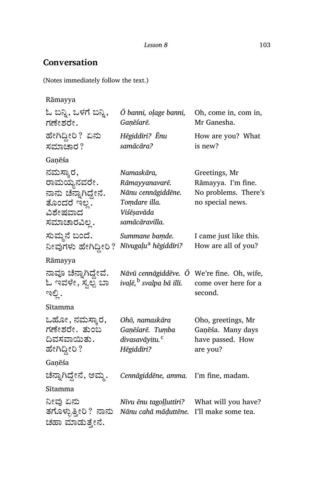#### **Conversation**

(Notes immediately follow the text.)

Rāmayya ಓ ಬನ್ನಿ, ಒಳಗೆ ಬನ್ನಿ, ಗಣೇಶರೇ. *Ō banni, oḷage banni, Gaṇēśarē.* Oh, come in, com in, Mr Ganesha. ಹೇಗಿದ್ದೀರಿ? ಏನು ಸಮಾಚಾರ? *Hēgiddīri? Ēnu samācāra?* How are you? What is new? Gaṇēśa ನಮಸ್ತಾರ, ರಾಮಯ್ಯನವರೇ. ನಾನು ಚೆನ್ನಾಗಿದ್ದೇನೆ. ತೊಂದರೆ ಇಲ. ವಿಶೇಷವಾದ ಸಮಾಚಾರವಿಲ . *Namaskāra, Rāmayyanavarē. Nānu cennāgiddēne. Toṃdare illa. Viśēṣavāda samācāravilla.* Greetings, Mr Rāmayya. I'm fine. No problems. There's no special news. ಸುಮ್ಮನೆ ಬಂದೆ. ನೀವುಗಳು ಹೇಗಿದ್ದೀರಿ ? *Nīvugaḷu<sup>a</sup> hēgiddīri? Summane baṃde.* I came just like this. How are all of you? Rāmayya ನಾವೂ ಚೆನ್ನಾಗಿದ್ದೇವೆ. ಓ ಇವಳೇ, ಸ್ತೆಲ್ಪ ಬಾ ಇಲಿ . *Nāvū cennāgiddēve. Ō* We're fine. Oh, wife, *ivaḷē,*<sup>b</sup> *svalpa bā illi.* come over here for a second. Sītamma ಒಹೋ, ನಮಸ್ತಾರ, ಗಣೇಶರೇ. ತುಂಬ ದಿವಸವಾಯಿತು. ಹೇಗಿದ್ದೀರಿ ? *Ohō, namaskāra Gaṇēśarē. Tuṃba divasavāyitu.*<sup>c</sup> *Hēgiddīri?* Oho, greetings, Mr Gaṇēśa. Many days have passed. How are you? Gaṇēśa ೆಾ·Ćೆµೕೆ, ಅಮ¼. *Cennāgiddēne, amma.* I'm fine, madam. Sītamma ನೀವು ಏನು ತಗೊಳ್ಳುತ್ತೀರಿ ?ನಾನು ಚಹಾ ಮಾಡುತ್ತೇನೆ. *Nīvu ēnu tagoḷḷuttīri? Nānu cahā māḍuttēne.* I'll make some tea.What will you have?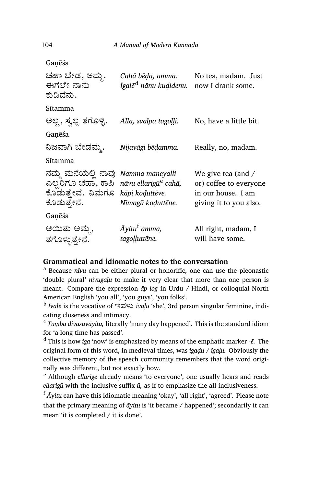Gaṇēśa

| ಚಹಾ ಬೇಡ, ಅಮ್ಮ.<br>ಈಗಲೇ ನಾನು<br>ಕುಡಿದೆನು.                                                                                          | Cahā bēda, amma.<br>Īgalē <sup>d</sup> nānu kuḍidenu. | No tea, madam. Just<br>now I drank some.                                                     |
|-----------------------------------------------------------------------------------------------------------------------------------|-------------------------------------------------------|----------------------------------------------------------------------------------------------|
| Sītamma                                                                                                                           |                                                       |                                                                                              |
| ಅಲ್ಲ, ಸ್ಯಲ್ಪ ತಗೊಳ್ಳಿ.                                                                                                             | Alla, svalpa tagoļļi.                                 | No, have a little bit.                                                                       |
| Ganēśa                                                                                                                            |                                                       |                                                                                              |
| ನಿಜವಾಗಿ ಬೇಡಮ್ಮ.                                                                                                                   | Nijavāgi bēdamma.                                     | Really, no, madam.                                                                           |
| Sītamma                                                                                                                           |                                                       |                                                                                              |
| ನಮ್ಮ ಮನೆಯಲ್ಲಿ ನಾವು Namma maneyalli<br>ಎಲ್ಲರಿಗೂ ಚಹಾ, ಕಾಪಿ nāvu ellarigūe cahā,<br>ಕೊಡುತ್ತೇವೆ. ನಿಮಗೂ kapi kodutteve.<br>ಕೊಡುತ್ತೇನೆ. | Nimagū koduttēne.                                     | We give tea (and /<br>or) coffee to everyone<br>in our house. I am<br>giving it to you also. |
| Ganēśa                                                                                                                            |                                                       |                                                                                              |
| ಆಯಿತು ಅಮ್ಮ,<br>ತಗೊಳ್ಳುತ್ತೇನೆ.                                                                                                     | Āyitu <sup>f</sup> amma,<br>tagoļļuttēne.             | All right, madam, I<br>will have some.                                                       |

#### **Grammatical and idiomatic notes to the conversation**

<sup>a</sup> Because *nīvu* can be either plural or honorific, one can use the pleonastic 'double plural' *nīvugaḷu* to make it very clear that more than one person is meant. Compare the expression *āp log* in Urdu / Hindi, or colloquial North American English 'you all', 'you guys', 'you folks'.

b *Ivaḷē* is the vocative of ಇವಳು *ivaḷu* 'she', 3rd person singular feminine, indicating closeness and intimacy.

<sup>c</sup> *Tuṃba divasavāyitu,* literally 'many day happened'. This is the standard idiom for 'a long time has passed'.

<sup>d</sup> This is how *īga* 'now' is emphasized by means of the emphatic marker *‑ē.* The original form of this word, in medieval times, was *īgaḍu / īgaḷu.* Obviously the collective memory of the speech community remembers that the word originally was different, but not exactly how.

<sup>e</sup> Although *ellarige* already means 'to everyone', one usually hears and reads *ellarigū* with the inclusive suffix *ū,* as if to emphasize the all-inclusiveness.

<sup>f</sup> *Āyitu* can have this idiomatic meaning 'okay', 'all right', 'agreed'. Please note that the primary meaning of *āyitu* is 'it became / happened'; secondarily it can mean 'it is completed / it is done'.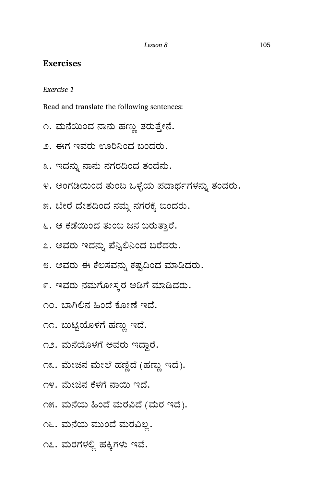#### **Exercises**

*Exercise 1*

Read and translate the following sentences:

- ೧. ಮನೆಯಿಂದ ನಾನು ಹಣ್ಣು ತರುತ್ತೇನೆ.
- ೨. ಈಗ ಇವರು ಊರಿನಿಂದ ಬಂದರು.
- ೩. ಇದನ್ನು ನಾನು ನಗರದಿಂದ ತಂದೆನು.
- ೪. ಅಂಗಡಿಯಿಂದ ತುಂಬ ಒಳೈಯ ಪದಾರ್ಥಗಳನ್ನು ತಂದರು.
- ೫. ಬೇರೆ ದೇಶದಿಂದ ನಮ್ಮ ನಗರಕ್ಕೆ ಬಂದರು.
- ೬. ಆ ಕಡೆಯಿಂದ ತುಂಬ ಜನ ಬರುತ್ತಾರೆ.
- ೭. ಅವರು ಇದನ್ನು ಪೆನ್ಸಿಲಿನಿಂದ ಬರೆದರು.
- ೮. ಅವರು ಈ ಕೆಲಸವನ್ನು ಕಷ್ಟದಿಂದ ಮಾಡಿದರು.
- ೯. ಇವರು ನಮಗೋಸ್ಕರ ಅಡಿಗೆ ಮಾಡಿದರು.
- ೧೦. ಬಾಗಿಲಿನ ಹಿಂದೆ ಕೋಣೆ ಇದೆ.
- ೧೧. ಬುಟ್ಟಿಯೊಳಗೆ ಹಣ್ಣು ಇದೆ.
- ೧೨. ಮನೆಯೊಳಗೆ ಅವರು ಇದ್ದಾರೆ.
- ೧೩. ಮೇಜಿನ ಮೇಲೆ ಹಣ್ಣಿದೆ (ಹಣ್ಣು ಇದೆ).
- ೧೪. ಮೇಜಿನ ಕೆಳಗೆ ನಾಯಿ ಇದೆ.
- ೧೫. ಮನೆಯ ಹಿಂದೆ ಮರವಿದೆ (ಮರ ಇದೆ).
- ೧೬. ಮನೆಯ ಮುಂದೆ ಮರವಿಲ್ಲ.
- ೧೭. ಮರಗಳಲ್ಲಿ ಹಕ್ಕಿಗಳು ಇವೆ.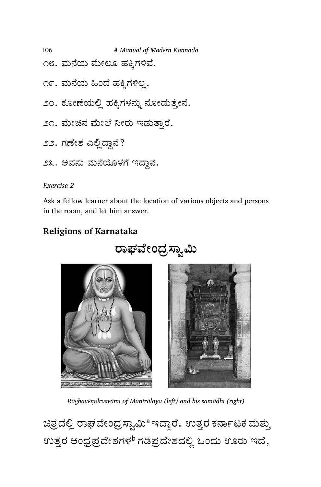106 *A Manual of Modern Kannada* ೧೮. ಮನೆಯ ಮೇಲೂ ಹಕ್ಕಿಗಳಿವೆ. ೧೯. ಮನೆಯ ಹಿಂದೆ ಹಕ್ಕಿಗಳಿಲ್ಲ. ೨೦. ಕೋಣೆಯಲ್ಲಿ ಹಕ್ಕಿಗಳನ್ನು ನೋಡುತ್ತೇನೆ. ೨೧. ಮೇಜಿನ ಮೇಲೆ ನೀರು ಇಡುತ್ತಾರೆ.

*Exercise 2*

Ask a fellow learner about the location of various objects and persons in the room, and let him answer.

# **Religions of Karnataka**

*Rāghavēṃdrasvāmi of Mantrālaya (left) and his samādhi (right)*

ಚಿತ್ರದಲ್ಲಿ ರಾಘವೇಂದ್ರಸ್ವಾಮಿ<sup>a ಇ</sup>ದ್ದಾರೆ. ಉತ್ತರ ಕರ್ನಾಟಕ ಮತ್ತು ಉತ್ತರ ಆಂಧ್ರಪ್ರದೇಶಗಳ<sup>b</sup> ಗಡಿಪ್ರದೇಶದಲ್ಲಿ ಒಂದು ಊರು ಇದೆ,

# ರಾಘವೇಂಧ್ರಸ್ವಾಮಿ

- ೨೨. ಗಣೇಶ ಎಲ್ಲಿದ್ದಾನೆ?
- ೨೩. ಅವನು ಮನೆಯೊಳಗೆ ಇದ್ದಾನೆ.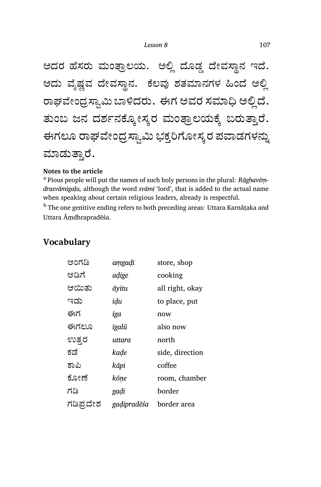ಅದರ ಹೆಸರು ಮಂತ್ರಾಲಯ. ಅಲ್ಲಿ ದೊಡ್ಡ ದೇವಸ್ಥಾನ ಇದೆ. ಅದು ವೈಷ್ಣವ ದೇವಸ್ಥಾನ. ಕೆಲವು ಶತಮಾನಗಳ ಹಿಂದೆ ಅಲ್ಲಿ ರಾಘವೇಂದ್ರಸ್ವಾಮಿ ಬಾಳಿದರು. ಈಗ ಅವರ ಸಮಾಧಿ ಅಲ್ಲಿದೆ. ತುಂಬ ಜನ ದರ್ಶನಕ್ಕೋಸ್ತರ ಮಂತ್ರಾಲಯಕ್ಕೆ ಬರುತ್ತಾರೆ. ಈಗಲೂ ರಾಘವೇಂದ್ರಸ್ವಾಮಿ ಭಕ್ತರಿಗೋಸ್ಕರ ಪವಾಡಗಳನ್ನು ಮಾಡುತಾರೆ.

#### **Notes to the article**

<sup>a</sup> Pious people will put the names of such holy persons in the plural: *Rāghavēṃdra svāmigaḷu,* although the word *svāmi* 'lord', that is added to the actual name when speaking about certain religious leaders, already is respectful.

<sup>b</sup> The one genitive ending refers to both preceding areas: Uttara Karnāṭaka and Uttara Āṃdhrapradēśa.

| ಅಂಗಡಿ     | amgaḍi      | store, shop     |
|-----------|-------------|-----------------|
| ಅಡಿಗೆ     | adige       | cooking         |
| ಆಯಿತು     | āyitu       | all right, okay |
| ಇಡು       | idu         | to place, put   |
| ಈಗ        | īga         | now             |
| ಈಗಲೂ      | īgalū       | also now        |
| ಉತ್ತರ     | uttara      | north           |
| ಕಡೆ       | kade        | side, direction |
| ಕಾಪಿ      | kāpi        | coffee          |
| ಕೋಣೆ      | kōne        | room, chamber   |
| ಗಡಿ       | gadi        | border          |
| ಗಡಿಪ್ರದೇಶ | gadipradēśa | border area     |

## **Vocabulary**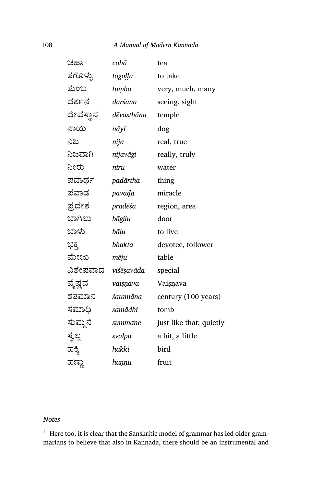#### 108 *A Manual of Modern Kannada*

| ಚಹಾ      | cahā                       | tea                     |
|----------|----------------------------|-------------------------|
| ತಗೊಳ್ಳು  | tagoḷḷu                    | to take                 |
| ತುಂಬ     | tumba                      | very, much, many        |
| ದರ್ಶನ    | darśana                    | seeing, sight           |
| ದೇವಸ್ಥಾನ | dēvasthāna                 | temple                  |
| ನಾಯಿ     | nāyi                       | dog                     |
| ನಿಜ      | nija                       | real, true              |
| ನಿಜವಾಗಿ  | nijavāgi                   | really, truly           |
| ನೀರು     | nīru                       | water                   |
| ಪದಾರ್ಥ   | padārtha                   | thing                   |
| ಪವಾಡ     | pavāḍa                     | miracle                 |
| ಪ್ರದೇಶ   | pradēśa                    | region, area            |
| ಬಾಗಿಲು   | bāgilu                     | door                    |
| ಬಾಳು     | bāļu                       | to live                 |
| ಭಕ್ತ     | bhakta                     | devotee, follower       |
| ಮೇಜು     | mēju                       | table                   |
|          | ವಿಶೇಷವಾದ <i>viśēṣavāda</i> | special                 |
| ವೈಷ್ಣವ   | vaisņava                   | Vaișņava                |
| ಶತಮಾನ    | śatamāna                   | century (100 years)     |
| ಸಮಾಧಿ    | samādhi                    | tomb                    |
| ಸುಮ್ಮನೆ  | summane                    | just like that; quietly |
| ಸ್ವಲ್ಪ   | svalpa                     | a bit, a little         |
| ಹಕ್ಕಿ    | hakki                      | bird                    |
| ಹಣ್ಣು    | haṇṇu                      | fruit                   |

#### *Notes*

 $^1\,$  Here too, it is clear that the Sanskritic model of grammar has led older grammarians to believe that also in Kannada, there should be an instrumental and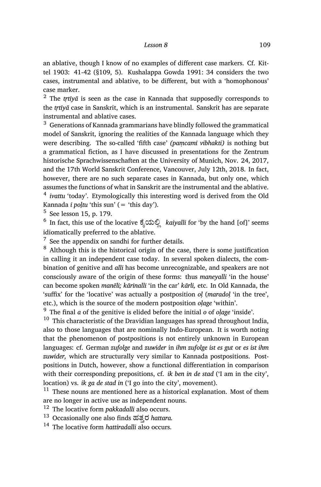an ablative, though I know of no examples of different case markers. Cf. Kittel 1903: 41-42 (§109, 5). Kushalappa Gowda 1991: 34 considers the two cases, instrumental and ablative, to be different, but with a 'homophonous' case marker.

 $2$  The *trtīyā* is seen as the case in Kannada that supposedly corresponds to the *tṛtīyā* case in Sanskrit, which is an instrumental. Sanskrit has are separate instrumental and ablative cases.

 $3$  Generations of Kannada grammarians have blindly followed the grammatical model of Sanskrit, ignoring the realities of the Kannada language which they were describing. The so-called 'fifth case' *(paṃcamī vibhakti)* is nothing but a grammatical fiction, as I have discussed in presentations for the Zentrum historische Sprachwissenschaften at the University of Munich, Nov. 24, 2017, and the 17th World Sanskrit Conference, Vancouver, July 12th, 2018. In fact, however, there are no such separate cases in Kannada, but only one, which assumes the functions of what in Sanskrit are the instrumental and the ablative. <sup>4</sup> ivattu 'today'. Etymologically this interesting word is derived from the Old Kannada *ī poltu* 'this sun' (= 'this day').

5 See lesson 15, p. 179.

<sup>6</sup> In fact, this use of the locative ಕೈಯಲ್ಲಿ *kaiyalli* for 'by the hand [of]' seems idiomatically preferred to the ablative.

 $<sup>7</sup>$  See the appendix on sandhi for further details.</sup>

<sup>8</sup> Although this is the historical origin of the case, there is some justification in calling it an independent case today. In several spoken dialects, the combination of genitive and *alli* has become unrecognizable, and speakers are not consciously aware of the origin of these forms: thus *maneyalli* 'in the house' can become spoken *manēli; kārinalli* 'in the car' *kārli,* etc. In Old Kannada, the 'suffix' for the 'locative' was actually a postposition *oḷ* (*maradoḷ* 'in the tree', etc.), which is the source of the modern postposition *oḷage* 'within'.

<sup>9</sup> The final *a* of the genitive is elided before the initial *o* of *oḷage* 'inside'.

 $10$  This characteristic of the Dravidian languages has spread throughout India, also to those languages that are nominally Indo-European. It is worth noting that the phenomenon of postpositions is not entirely unknown in European languages: cf. German *zufolge* and *zuwider* in *ihm zufolge ist es gut* or *es ist ihm zuwider,* which are structurally very similar to Kannada postpositions. Postpositions in Dutch, however, show a functional differentiation in comparison with their corresponding prepositions, cf. *ik ben in de stad* ('I am in the city', location) vs. *ik ga de stad in* ('I go into the city', movement).

 $11$  These nouns are mentioned here as a historical explanation. Most of them are no longer in active use as independent nouns.

<sup>12</sup> The locative form *pakkadalli* also occurs.

<sup>13</sup> Occasionally one also finds ಹತ್ತರ *hattara*.

<sup>14</sup> The locative form *hattiradalli* also occurs.